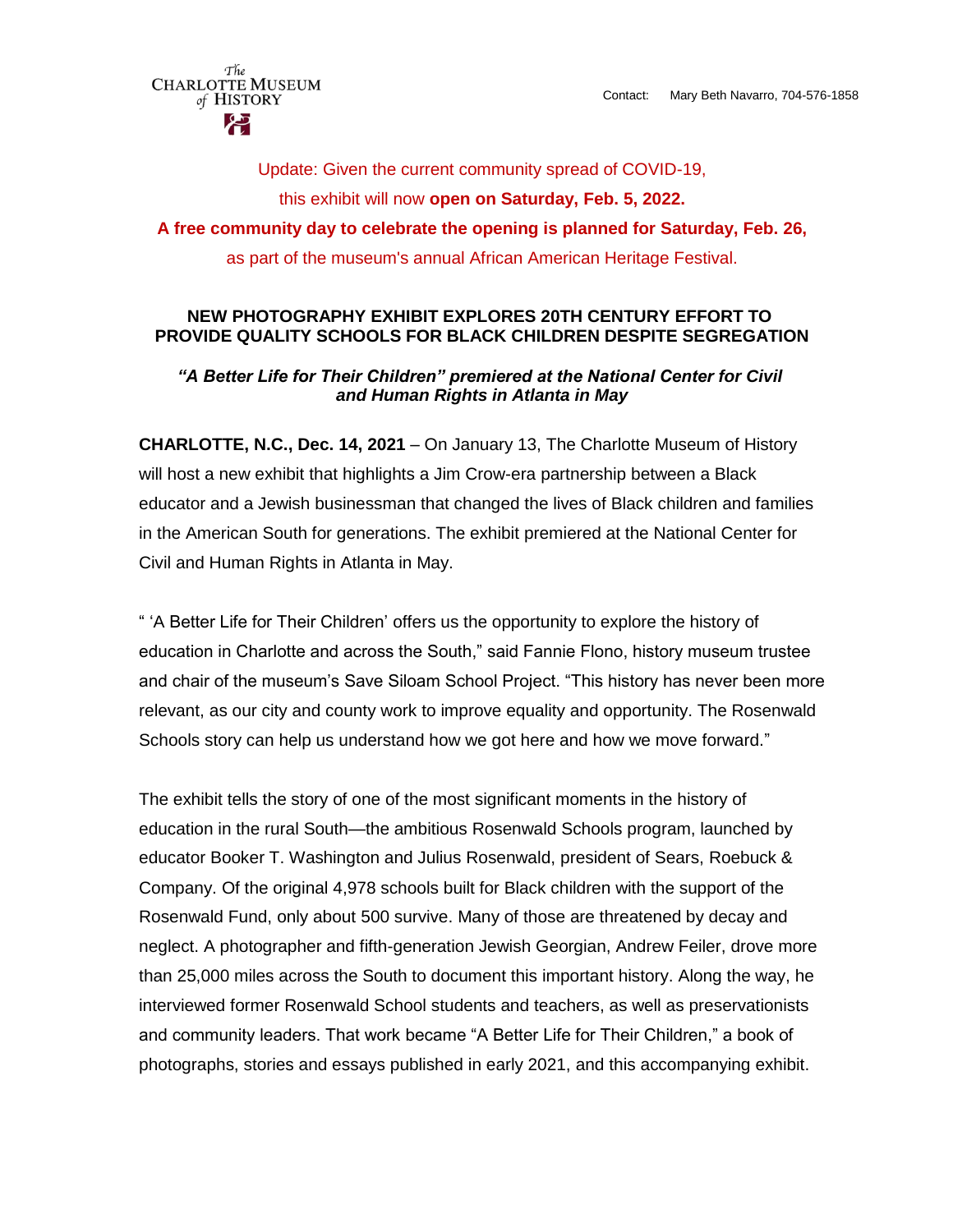The **CHARLOTTE MUSEUM** of HISTORY

Update: Given the current community spread of COVID-19, this exhibit will now **open on Saturday, Feb. 5, 2022. A free community day to celebrate the opening is planned for Saturday, Feb. 26,**  as part of the museum's annual African American Heritage Festival.

### **NEW PHOTOGRAPHY EXHIBIT EXPLORES 20TH CENTURY EFFORT TO PROVIDE QUALITY SCHOOLS FOR BLACK CHILDREN DESPITE SEGREGATION**

## *"A Better Life for Their Children" premiered at the National Center for Civil and Human Rights in Atlanta in May*

**CHARLOTTE, N.C., Dec. 14, 2021** – On January 13, The Charlotte Museum of History will host a new exhibit that highlights a Jim Crow-era partnership between a Black educator and a Jewish businessman that changed the lives of Black children and families in the American South for generations. The exhibit premiered at the National Center for Civil and Human Rights in Atlanta in May.

" 'A Better Life for Their Children' offers us the opportunity to explore the history of education in Charlotte and across the South," said Fannie Flono, history museum trustee and chair of the museum's Save Siloam School Project. "This history has never been more relevant, as our city and county work to improve equality and opportunity. The Rosenwald Schools story can help us understand how we got here and how we move forward."

The exhibit tells the story of one of the most significant moments in the history of education in the rural South—the ambitious Rosenwald Schools program, launched by educator Booker T. Washington and Julius Rosenwald, president of Sears, Roebuck & Company. Of the original 4,978 schools built for Black children with the support of the Rosenwald Fund, only about 500 survive. Many of those are threatened by decay and neglect. A photographer and fifth-generation Jewish Georgian, Andrew Feiler, drove more than 25,000 miles across the South to document this important history. Along the way, he interviewed former Rosenwald School students and teachers, as well as preservationists and community leaders. That work became "A Better Life for Their Children," a book of photographs, stories and essays published in early 2021, and this accompanying exhibit.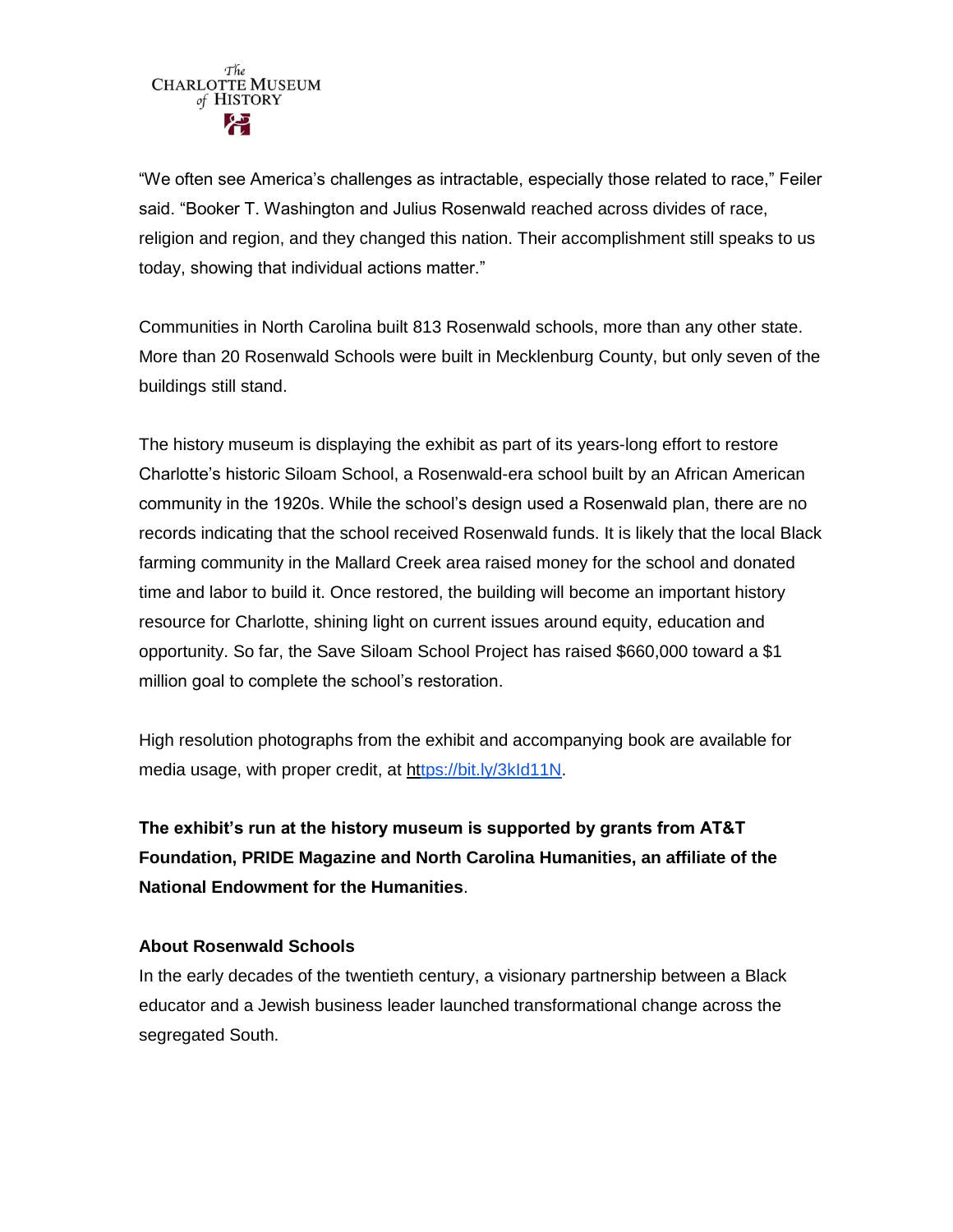"We often see America's challenges as intractable, especially those related to race," Feiler said. "Booker T. Washington and Julius Rosenwald reached across divides of race, religion and region, and they changed this nation. Their accomplishment still speaks to us today, showing that individual actions matter."

Communities in North Carolina built 813 Rosenwald schools, more than any other state. More than 20 Rosenwald Schools were built in Mecklenburg County, but only seven of the buildings still stand.

The history museum is displaying the exhibit as part of its years-long effort to restore Charlotte's historic Siloam School, a Rosenwald-era school built by an African American community in the 1920s. While the school's design used a Rosenwald plan, there are no records indicating that the school received Rosenwald funds. It is likely that the local Black farming community in the Mallard Creek area raised money for the school and donated time and labor to build it. Once restored, the building will become an important history resource for Charlotte, shining light on current issues around equity, education and opportunity. So far, the Save Siloam School Project has raised \$660,000 toward a \$1 million goal to complete the school's restoration.

High resolution photographs from the exhibit and accompanying book are available for media usage, with proper credit, at https://bit.ly/3kld11N.

**The exhibit's run at the history museum is supported by grants from AT&T Foundation, PRIDE Magazine and North Carolina Humanities, an affiliate of the National Endowment for the Humanities**.

# **About Rosenwald Schools**

In the early decades of the twentieth century, a visionary partnership between a Black educator and a Jewish business leader launched transformational change across the segregated South.